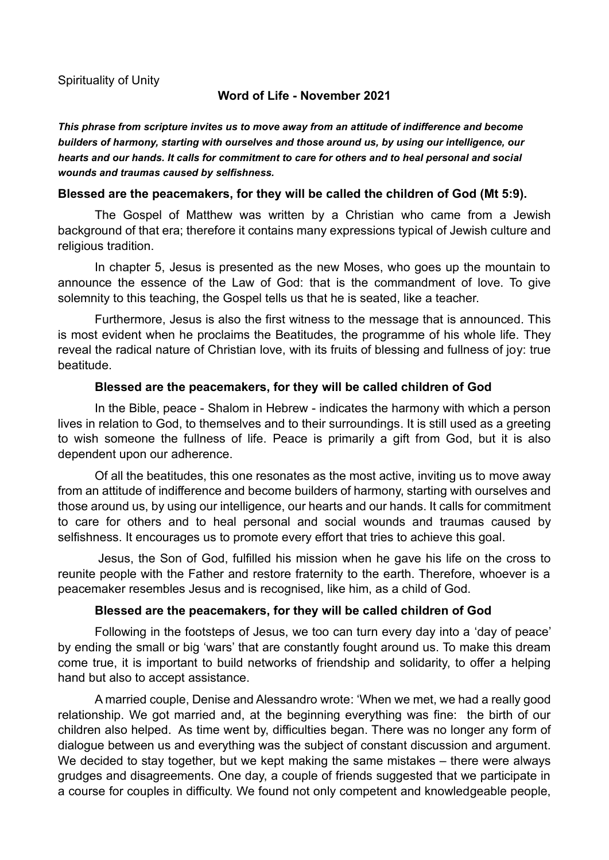## **Word of Life - November 2021**

*This phrase from scripture invites us to move away from an attitude of indifference and become builders of harmony, starting with ourselves and those around us, by using our intelligence, our hearts and our hands. It calls for commitment to care for others and to heal personal and social wounds and traumas caused by selfishness.*

### **Blessed are the peacemakers, for they will be called the children of God (Mt 5:9).**

The Gospel of Matthew was written by a Christian who came from a Jewish background of that era; therefore it contains many expressions typical of Jewish culture and religious tradition.

In chapter 5, Jesus is presented as the new Moses, who goes up the mountain to announce the essence of the Law of God: that is the commandment of love. To give solemnity to this teaching, the Gospel tells us that he is seated, like a teacher.

Furthermore, Jesus is also the first witness to the message that is announced. This is most evident when he proclaims the Beatitudes, the programme of his whole life. They reveal the radical nature of Christian love, with its fruits of blessing and fullness of joy: true beatitude.

### **Blessed are the peacemakers, for they will be called children of God**

In the Bible, peace - Shalom in Hebrew - indicates the harmony with which a person lives in relation to God, to themselves and to their surroundings. It is still used as a greeting to wish someone the fullness of life. Peace is primarily a gift from God, but it is also dependent upon our adherence.

Of all the beatitudes, this one resonates as the most active, inviting us to move away from an attitude of indifference and become builders of harmony, starting with ourselves and those around us, by using our intelligence, our hearts and our hands. It calls for commitment to care for others and to heal personal and social wounds and traumas caused by selfishness. It encourages us to promote every effort that tries to achieve this goal.

Jesus, the Son of God, fulfilled his mission when he gave his life on the cross to reunite people with the Father and restore fraternity to the earth. Therefore, whoever is a peacemaker resembles Jesus and is recognised, like him, as a child of God.

### **Blessed are the peacemakers, for they will be called children of God**

Following in the footsteps of Jesus, we too can turn every day into a 'day of peace' by ending the small or big 'wars' that are constantly fought around us. To make this dream come true, it is important to build networks of friendship and solidarity, to offer a helping hand but also to accept assistance.

A married couple, Denise and Alessandro wrote: 'When we met, we had a really good relationship. We got married and, at the beginning everything was fine: the birth of our children also helped. As time went by, difficulties began. There was no longer any form of dialogue between us and everything was the subject of constant discussion and argument. We decided to stay together, but we kept making the same mistakes – there were always grudges and disagreements. One day, a couple of friends suggested that we participate in a course for couples in difficulty. We found not only competent and knowledgeable people,